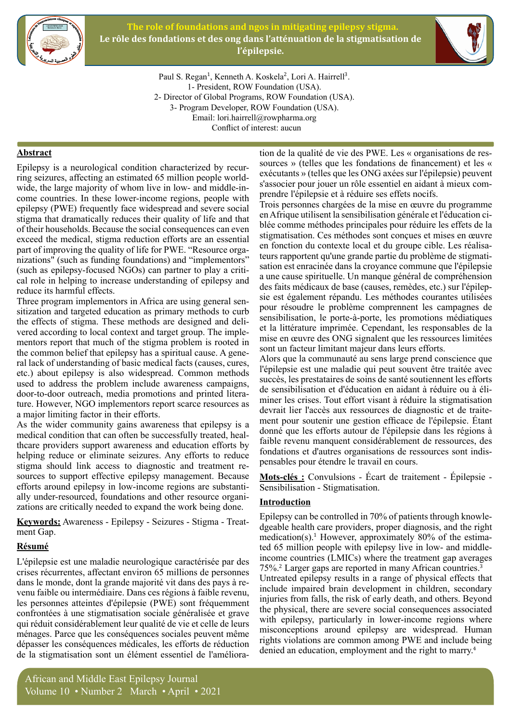

**The role of foundations and ngos in mitigating epilepsy stigma.** Le rôle des fondations et des ong dans l'atténuation de la stigmatisation de l'épilepsie.



Paul S. Regan<sup>1</sup>, Kenneth A. Koskela<sup>2</sup>, Lori A. Hairrell<sup>3</sup>. 1- President, ROW Foundation (USA). 2- Director of Global Programs, ROW Foundation (USA). 3- Program Developer, ROW Foundation (USA). Email: lori.hairrell@rowpharma.org Conflict of interest: aucun

# **Abstract**

come countries. In these lower-income regions, people with ring seizures, affecting an estimated 65 million people world-<br>wide, the large majority of whom live in low- and middle-in-Epilepsy is a neurological condition characterized by recurring seizures, affecting an estimated 65 million people worldepilepsy (PWE) frequently face widespread and severe social stigma that dramatically reduces their quality of life and that of their households. Because the social consequences can even exceed the medical, stigma reduction efforts are an essential nizations" (such as funding foundations) and "implementors" part of improving the quality of life for PWE. "Resource orgacal role in helping to increase understanding of epilepsy and (such as epilepsy-focused  $NGOs$ ) can partner to play a critireduce its harmful effects.

sitization and targeted education as primary methods to curb Three program implementors in Africa are using general senmentors report that much of the stigma problem is rooted in vered according to local context and target group. The implethe effects of stigma. These methods are designed and delithe common belief that epilepsy has a spiritual cause. A gene-<br>ral-lack of understanding of basic medical facts (causes, cures, etc.) about epilepsy is also widespread. Common methods used to address the problem include awareness campaigns, ture. However, NGO implementors report scarce resources as door-to-door outreach, media promotions and printed literaa major limiting factor in their efforts.

As the wider community gains awareness that epilepsy is a the are providers support awareness and education efforts by medical condition that can often be successfully treated, healhelping reduce or eliminate seizures. Any efforts to reduce stigma should link access to diagnostic and treatment resources to support effective epilepsy management. Because ally under-resourced, foundations and other resource organizations are critically needed to expand the work being done. efforts around epilepsy in low-income regions are substantially under-resourced, foundations and other resource organiefforts around epilepsy in low-income regions are substanti-

Keywords: Awareness - Epilepsy - Seizures - Stigma - Treat-<br>ment Gap.

# **Résumé**

L'épilepsie est une maladie neurologique caractérisée par des crises récurrentes, affectant environ 65 millions de personnes dans le monde, dont la grande majorité vit dans des pays à revenu faible ou intermédiaire. Dans ces régions à faible revenu, les personnes atteintes d'épilepsie (PWE) sont fréquemment confrontées à une stigmatisation sociale généralisée et grave qui réduit considérablement leur qualité de vie et celle de leurs ménages. Parce que les conséquences sociales peuvent même dépasser les conséquences médicales, les efforts de réduction de la stigmatisation sont un élément essentiel de l'améliorasources » (telles que les fondations de financement) et les « tion de la qualité de vie des PWE. Les « organisations de resexécutants » (telles que les ONG axées sur l'épilepsie) peuvent s'associer pour jouer un rôle essentiel en aidant à mieux com-<br>prendre l'épilepsie et à réduire ses effets nocifs.

Trois personnes chargées de la mise en œuvre du programme en Afrique utilisent la sensibilisation générale et l'éducation ci-<br>blée-comme méthodes principales pour réduire les effets de la stigmatisation. Ces méthodes sont conçues et mises en œuvre teurs rapportent qu'une grande partie du problème de stigmatisation est enracinée dans la croyance commune que l'épilepsie en fonction du contexte local et du groupe cible. Les réalisa-<br>teurs rapportent qu'une grande partie du problème de stigmatia une cause spirituelle. Un manque général de compréhension sie est également répandu. Les méthodes courantes utilisées des faits médicaux de base (causes, remèdes, etc.) sur l'épileppour résoudre le problème comprennent les campagnes de sensibilisation, le porte-à-porte, les promotions médiatiques et la littérature imprimée. Cependant, les responsables de la mise en œuvre des ONG signalent que les ressources limitées sont un facteur limitant majeur dans leurs efforts.

Alors que la communauté au sens large prend conscience que l'épilepsie est une maladie qui peut souvent être traitée avec succès, les prestataires de soins de santé soutiennent les efforts miner les crises. Tout effort visant à réduire la stigmatisation de sensibilisation et d'éducation en aidant à réduire ou à élidevrait lier l'accès aux ressources de diagnostic et de traite-<br>ment pour soutenir une gestion efficace de l'épilepsie. Étant donné que les efforts autour de l'épilepsie dans les régions à faible revenu manquent considérablement de ressources, des fondations et d'autres organisations de ressources sont indis-<br>pensables pour étendre le travail en cours.

**Mots-clés**: Convulsions - Écart de traitement - Épilepsie -Sensibilisation - Stigmatisation.

#### **Introduction**

dgeable health care providers, proper diagnosis, and the right Epilepsy can be controlled in 70% of patients through knowlemedication(s).<sup>1</sup> However, approximately 80% of the estima ted 65 million people with epilepsy live in low- and middle-<br>income countries (LMICs) where the treatment gap averages medication(s).<sup>1</sup> However, approximately 80% of the estimated 65 million people with epilepsy live in low- and middle-75%.<sup>2</sup> Larger gaps are reported in many African countries.<sup>3</sup> Untreated epilepsy results in a range of physical effects that include impaired brain development in children, secondary injuries from falls, the risk of early death, and others. Beyond the physical, there are severe social consequences associated with epilepsy, particularly in lower-income regions where misconceptions around epilepsy are widespread. Human rights violations are common among PWE and include being denied an education, employment and the right to marry.<sup>4</sup>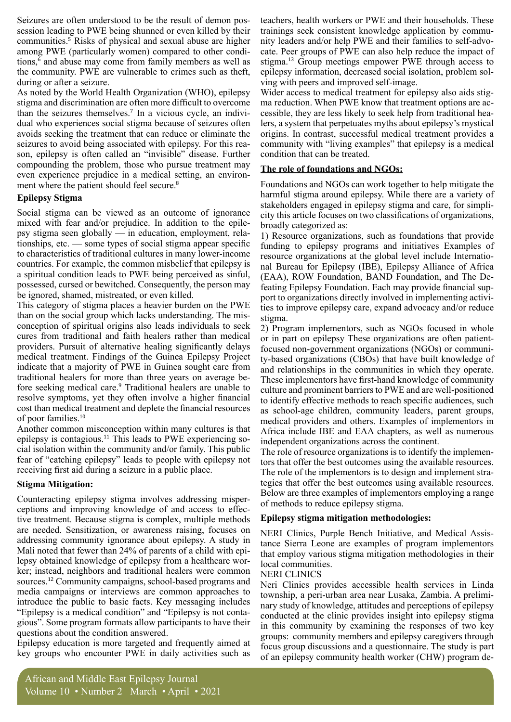session leading to PWE being shunned or even killed by their Seizures are often understood to be the result of demon poscommunities.<sup>5</sup> Risks of physical and sexual abuse are higher among PWE (particularly women) compared to other conditions,<sup>6</sup> and abuse may come from family members as well as tions, $6$  and abuse may come from family members as well as the community. PWE are vulnerable to crimes such as theft, during or after a seizure.

As noted by the World Health Organization (WHO), epilepsy stigma and discrimination are often more difficult to overcome than the seizures themselves.<sup>7</sup> In a vicious cycle, an individual who experiences social stigma because of seizures often avoids seeking the treatment that can reduce or eliminate the son, epilepsy is often called an "invisible" disease. Further seizures to avoid being associated with epilepsy. For this reacompounding the problem, those who pursue treatment may even experience prejudice in a medical setting, an environ-<br>ment where the patient should feel secure.<sup>8</sup>

### **Stigma Epilepsy**

Social stigma can be viewed as an outcome of ignorance psy stigma seen globally — in education, employment, relationships, etc. — some types of social stigma appear specific mixed with fear and/or prejudice. In addition to the epile-<br>psy-stigma seen globally — in education, employment, relato characteristics of traditional cultures in many lower-income countries. For example, the common misbelief that epilepsy is a spiritual condition leads to PWE being perceived as sinful. possessed, cursed or bewitched. Consequently, the person may be ignored, shamed, mistreated, or even killed.

This category of stigma places a heavier burden on the PWE conception of spiritual origins also leads individuals to seek than on the social group which lacks understanding. The miscures from traditional and faith healers rather than medical providers. Pursuit of alternative healing significantly delays medical treatment. Findings of the Guinea Epilepsy Project indicate that a majority of PWE in Guinea sought care from traditional healers for more than three years on average be-<br>fore seeking medical care.<sup>9</sup> Traditional healers are unable to traditional healers for more than three years on average beresolve symptoms, yet they often involve a higher financial cost than medical treatment and deplete the financial resources of poor families. $10$ 

Another common misconception within many cultures is that epilepsy is contagious.<sup>11</sup> This leads to PWE experiencing so-<br>cial isolation within the community and/or family. This public fear of "catching epilepsy" leads to people with epilepsy not receiving first aid during a seizure in a public place.

# **Stigma Mitigation:**

ceptions and improving knowledge of and access to effective treatment. Because stigma is complex, multiple methods Counteracting epilepsy stigma involves addressing misper-<br>ceptions and improving knowledge of and access to effecare needed. Sensitization, or awareness raising, focuses on addressing community ignorance about epilepsy. A study in ker; instead, neighbors and traditional healers were common lepsy obtained knowledge of epilepsy from a healthcare wor-Mali noted that fewer than 24% of parents of a child with episources.<sup>12</sup> Community campaigns, school-based programs and media campaigns or interviews are common approaches to introduce the public to basic facts. Key messaging includes gious". Some program formats allow participants to have their "Epilepsy is a medical condition" and "Epilepsy is not contaquestions about the condition answered.

Epilepsy education is more targeted and frequently aimed at key groups who encounter PWE in daily activities such as

teachers, health workers or PWE and their households. These cate. Peer groups of PWE can also help reduce the impact of nity leaders and/or help PWE and their families to self-advotrainings seek consistent knowledge application by commustigma.<sup>13</sup> Group meetings empower PWE through access to epilepsy information, decreased social isolation, problem sol-<br>ving with peers and improved self-image.

lers, a system that perpetuates myths about epilepsy's mystical ma reduction. When PWE know that treatment options are accessible, they are less likely to seek help from traditional hea-Wider access to medical treatment for epilepsy also aids stig-<br>ma reduction. When PWE know that treatment options are acorigins. In contrast, successful medical treatment provides a community with "living examples" that epilepsy is a medical condition that can be treated.

# **The role of foundations and NGOs:**

Foundations and NGOs can work together to help mitigate the harmful stigma around epilepsy. While there are a variety of city this article focuses on two classifications of organizations, stakeholders engaged in epilepsy stigma and care, for simplibroadly categorized as:

1) Resource organizations, such as foundations that provide funding to epilepsy programs and initiatives Examples of nal Bureau for Epilepsy (IBE), Epilepsy Alliance of Africa resource organizations at the global level include Internatioport to organizations directly involved in implementing activities to improve epilepsy care, expand advocacy and/or reduce feating Epilepsy Foundation. Each may provide financial support to organizations directly involved in implementing activi-(EAA), ROW Foundation, BAND Foundation, and The De-<br>feating Epilepsy Foundation. Each may provide financial sup-(EAA), ROW Foundation, BAND Foundation, and The Destigma.

2) Program implementors, such as NGOs focused in whole ty-based organizations (CBOs) that have built knowledge of focused non-government organizations (NGOs) or communior in part on epilepsy These organizations are often patientand relationships in the communities in which they operate. These implementors have first-hand knowledge of community culture and prominent barriers to PWE and are well-positioned to identify effective methods to reach specific audiences, such as school-age children, community leaders, parent groups, medical providers and others. Examples of implementors in Africa include IBE and EAA chapters, as well as numerous independent organizations across the continent.

The role of resource organizations is to identify the implementors that offer the best outcomes using the available resources. The role of the implementors is to design and implement stra-<br>tegies that offer the best outcomes using available resources. Below are three examples of implementors employing a range of methods to reduce epilepsy stigma.

# **Epilepsy stigma mitigation methodologies:**

tance Sierra Leone are examples of program implementors NERI Clinics, Purple Bench Initiative, and Medical Assisthat employ various stigma mitigation methodologies in their local communities.

# **NERI CLINICS**

Neri Clinics provides accessible health services in Linda nary study of knowledge, attitudes and perceptions of epilepsy township, a peri-urban area near Lusaka, Zambia. A prelimiconducted at the clinic provides insight into epilepsy stigma in this community by examining the responses of two key groups: community members and epilepsy caregivers through focus group discussions and a questionnaire. The study is part of an epilepsy community health worker (CHW) program de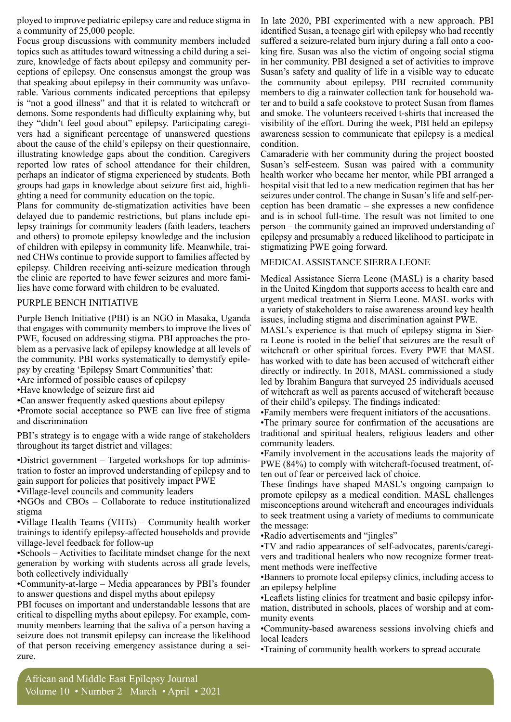ployed to improve pediatric epilepsy care and reduce stigma in a community of  $25,000$  people.

Focus group discussions with community members included zure, knowledge of facts about epilepsy and community per-<br>ceptions of epilepsy. One consensus amongst the group was topics such as attitudes toward witnessing a child during a sei-<br>zure, knowledge of facts about epilepsy and community perthat speaking about epilepsy in their community was unfavorable. Various comments indicated perceptions that epilepsy is "not a good illness" and that it is related to witchcraft or demons. Some respondents had difficulty explaining why, but they "didn't feel good about" epilepsy. Participating caregivers had a significant percentage of unanswered questions about the cause of the child's epilepsy on their questionnaire, illustrating knowledge gaps about the condition. Caregivers reported low rates of school attendance for their children, perhaps an indicator of stigma experienced by students. Both groups had gaps in knowledge about seizure first aid, highlighting a need for community education on the topic.

Plans for community de-stigmatization activities have been delayed due to pandemic restrictions, but plans include epi-<br>lepsy trainings for community leaders (faith leaders, teachers and others) to promote epilepsy knowledge and the inclusion ned CHWs continue to provide support to families affected by of children with epilepsy in community life. Meanwhile, traiepilepsy. Children receiving anti-seizure medication through the clinic are reported to have fewer seizures and more fami-<br>lies have come forward with children to be evaluated.

#### PURPLE BENCH INITIATIVE

Purple Bench Initiative (PBI) is an NGO in Masaka, Uganda that engages with community members to improve the lives of blem as a pervasive lack of epilepsy knowledge at all levels of PWE, focused on addressing stigma. PBI approaches the prothe community. PBI works systematically to demystify epile-<br>psy by creating 'Epilepsy Smart Communities' that:

• Are informed of possible causes of epilepsy

• Have knowledge of seizure first aid

• Can answer frequently asked questions about epilepsy

• Promote social acceptance so PWE can live free of stigma and discrimination

PBI's strategy is to engage with a wide range of stakeholders throughout its target district and villages:

• District government – Targeted workshops for top administration to foster an improved understanding of epilepsy and to gain support for policies that positively impact PWE

•Village-level councils and community leaders

 $\cdot$ NGOs and CBOs – Collaborate to reduce institutionalized stigma

 $\cdot$ Village Health Teams (VHTs) – Community health worker trainings to identify epilepsy-affected households and provide village-level feedback for follow-up

 $\bullet$ Schools – Activities to facilitate mindset change for the next generation by working with students across all grade levels, both collectively individually

• Community-at-large – Media appearances by PBI's founder to answer questions and dispel myths about epilepsy

PBI focuses on important and understandable lessons that are critical to dispelling myths about epilepsy. For example, com-<br>munity members learning that the saliva of a person having a seizure does not transmit epilepsy can increase the likelihood of that person receiving emergency assistance during a seizure.

In late 2020, PBI experimented with a new approach. PBI identified Susan, a teenage girl with epilepsy who had recently king fire. Susan was also the victim of ongoing social stigma suffered a seizure-related burn injury during a fall onto a cooin her community. PBI designed a set of activities to improve Susan's safety and quality of life in a visible way to educate the community about epilepsy. PBI recruited community members to dig a rainwater collection tank for household wa-<br>ter and to build a safe cookstove to protect Susan from flames and smoke. The volunteers received t-shirts that increased the visibility of the effort. During the week, PBI held an epilepsy a wareness session to communicate that epilepsy is a medical .condition

Camaraderie with her community during the project boosted Susan's self-esteem. Susan was paired with a community health worker who became her mentor, while PBI arranged a hospital visit that led to a new medication regimen that has her seizures under control. The change in Susan's life and self-per-<br>ception-has been dramatic – she expresses a new confidence and is in school full-time. The result was not limited to one person – the community gained an improved understanding of epilepsy and presumably a reduced likelihood to participate in stigmatizing PWE going forward.

#### MEDICAL ASSISTANCE SIERRA LEONE

Medical Assistance Sierra Leone (MASL) is a charity based in the United Kingdom that supports access to health care and urgent medical treatment in Sierra Leone. MASL works with a variety of stakeholders to raise awareness around key health issues, including stigma and discrimination against PWE.

ra Leone is rooted in the belief that seizures are the result of MASL's experience is that much of epilepsy stigma in Sierwitchcraft or other spiritual forces. Every PWE that MASL has worked with to date has been accused of witchcraft either directly or indirectly. In 2018, MASL commissioned a study led by Ibrahim Bangura that surveyed 25 individuals accused of witchcraft as well as parents accused of witchcraft because of their child's epilepsy. The findings indicated:

•Family members were frequent initiators of the accusations.

•The primary source for confirmation of the accusations are traditional and spiritual healers, religious leaders and other community leaders.

• Family involvement in the accusations leads the majority of PWE (84%) to comply with witchcraft-focused treatment, of-<br>ten out of fear or perceived lack of choice.

These findings have shaped MASL's ongoing campaign to promote epilepsy as a medical condition. MASL challenges misconceptions around witchcraft and encourages individuals to seek treatment using a variety of mediums to communicate the message:

•Radio advertisements and "jingles"

vers and traditional healers who now recognize former treat-<br>ment methods were ineffective TV and radio appearances of self-advocates, parents/caregivers and traditional healers who now recognize former treat-•TV and radio appearances of self-advocates, parents/caregi-

• Banners to promote local epilepsy clinics, including access to an epilepsy helpline

mation, distributed in schools, places of worship and at com-<br>munity events •Leaflets listing clinics for treatment and basic epilepsy infor-<br>mation, distributed in schools, places of worship and at com-•Leaflets listing clinics for treatment and basic epilepsy infor-

•Community-based awareness sessions involving chiefs and local leaders

• Training of community health workers to spread accurate